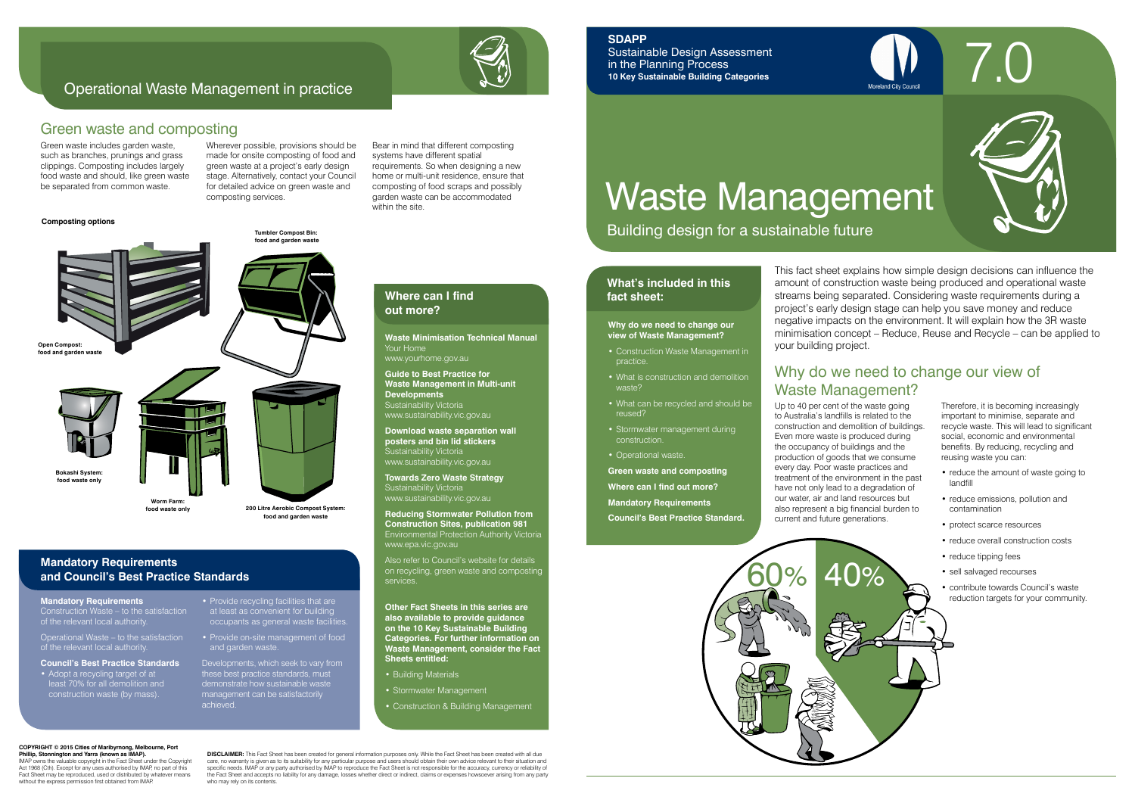

# Waste Management

Building design for a sustainable future

## **What's included in this fact sheet:**

7.0

Up to 40 per cent of the waste going to Australia's landfills is related to the construction and demolition of buildings. Even more waste is produced during the occupancy of buildings and the production of goods that we consume every day. Poor waste practices and treatment of the environment in the past have not only lead to a degradation of our water, air and land resources but also represent a big financial burden to current and future generations.

Therefore, it is becoming increasingly important to minimise, separate and recycle waste. This will lead to significant social, economic and environmental benefits. By reducing, recycling and reusing waste you can:

- reduce the amount of waste going to landfill
- reduce emissions, pollution and contamination
- protect scarce resources
- reduce overall construction costs
- reduce tipping fees
- sell salvaged recourses
- contribute towards Council's waste reduction targets for your community.

**Guide to Best Practice for Waste Management in Multi-unit Developments** Sustainability Victoria

## Why do we need to change our view of Waste Management?

## **Why do we need to change our view of Waste Management?**

- Construction Waste Management in practice.
- What is construction and demolition waste?
- What can be recycled and should be reused?
- Stormwater management during construction.
- Operational waste.

**Green waste and composting**

**Where can I find out more?**

**Mandatory Requirements** 

**Council's Best Practice Standard.**

This fact sheet explains how simple design decisions can influence the amount of construction waste being produced and operational waste streams being separated. Considering waste requirements during a project's early design stage can help you save money and reduce negative impacts on the environment. It will explain how the 3R waste minimisation concept – Reduce, Reuse and Recycle – can be applied to your building project.



## **SDAPP**

Sustainable Design Assessment in the Planning Process **10 Key Sustainable Building Categories**

#### **COPYRIGHT © 2015 Cities of Maribyrnong, Melbourney Phillip, Stonnington and Yarra (known as IMAP).**

IMAP owns the valuable copyright in the Fact Sheet under the Copyright Act 1968 (Cth). Except for any uses authorised by IMAP, no part of this Fact Sheet may be reproduced, used or distributed by whatever means without the express permission first obtained from IMAF

**Waste Minimisation Technical Manual** Your Home www.yourhome.gov.au

**DISCLAIMER:** This Fact Sheet has been created for general information purposes only. While the Fact Sheet has been created with all due care, no warranty is given as to its suitability for any particular purpose and users should obtain their own advice relevant to their situation and<br>specific needs. IMAP or any party authorised by IMAP to reproduce the Fac the Fact Sheet and accepts no liability for any damage, losses whether direct or indirect, claims or expenses howsoever arising from any party who may rely on its contents.



www.sustainability.vic.gov.au

**Download waste separation wall posters and bin lid stickers** Sustainability Victoria www.sustainability.vic.gov.au

**Towards Zero Waste Strategy**  Sustainability Victoria www.sustainability.vic.gov.au

**Reducing Stormwater Pollution from Construction Sites, publication 981** Environmental Protection Authority Victoria www.epa.vic.gov.au

• Adopt a recycling target of at least 70% for all demolition and construction waste (by mass).

Also refer to Council's website for details on recycling, green waste and composting services.

• Provide recycling facilities that are at least as convenient for building occupants as general waste facilitie

**Other Fact Sheets in this series are also available to provide guidance on the 10 Key Sustainable Building Categories. For further information on Waste Management, consider the Fact Sheets entitled:** 

- Building Materials
- Stormwater Management
- Construction & Building Management

## **Where can I find out more?**

## **Mandatory Requirements and Council's Best Practice Standards**

Green waste includes garden waste, such as branches, prunings and grass clippings. Composting includes largely food waste and should, like green waste be separated from common waste.

Wherever possible, provisions should be made for onsite composting of food and green waste at a project's early design stage. Alternatively, contact your Council for detailed advice on green waste and composting services.

Bear in mind that different composting systems have different spatial requirements. So when designing a new home or multi-unit residence, ensure that composting of food scraps and possibly garden waste can be accommodated within the site.

## Green waste and composting

## Operational Waste Management in practice

### **Composting options**



**Mandatory Requirements** Construction Waste – to the satisfaction of the relevant local authority.

Operational Waste – to the satisfaction of the relevant local authority.

#### **Council's Best Practice Standards**

• Provide on-site management of food and garden waste.

Developments, which seek to vary from these best practice standards, must demonstrate how sustainable waste management can be satisfactorily achieved.